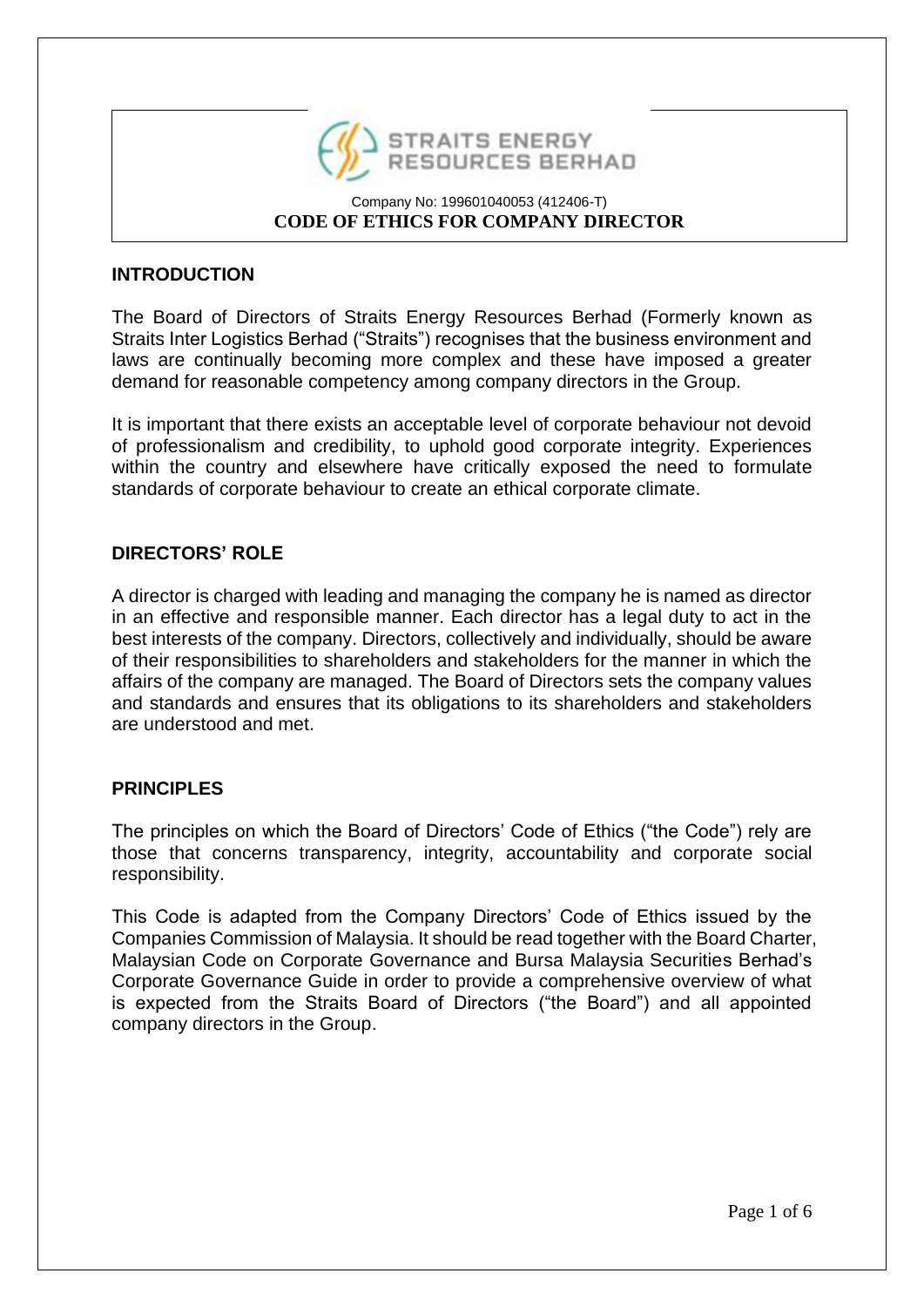

## **INTRODUCTION**

The Board of Directors of Straits Energy Resources Berhad (Formerly known as Straits Inter Logistics Berhad ("Straits") recognises that the business environment and laws are continually becoming more complex and these have imposed a greater demand for reasonable competency among company directors in the Group.

It is important that there exists an acceptable level of corporate behaviour not devoid of professionalism and credibility, to uphold good corporate integrity. Experiences within the country and elsewhere have critically exposed the need to formulate standards of corporate behaviour to create an ethical corporate climate.

### **DIRECTORS' ROLE**

A director is charged with leading and managing the company he is named as director in an effective and responsible manner. Each director has a legal duty to act in the best interests of the company. Directors, collectively and individually, should be aware of their responsibilities to shareholders and stakeholders for the manner in which the affairs of the company are managed. The Board of Directors sets the company values and standards and ensures that its obligations to its shareholders and stakeholders are understood and met.

### **PRINCIPLES**

The principles on which the Board of Directors' Code of Ethics ("the Code") rely are those that concerns transparency, integrity, accountability and corporate social responsibility.

This Code is adapted from the Company Directors' Code of Ethics issued by the Companies Commission of Malaysia. It should be read together with the Board Charter, Malaysian Code on Corporate Governance and Bursa Malaysia Securities Berhad's Corporate Governance Guide in order to provide a comprehensive overview of what is expected from the Straits Board of Directors ("the Board") and all appointed company directors in the Group.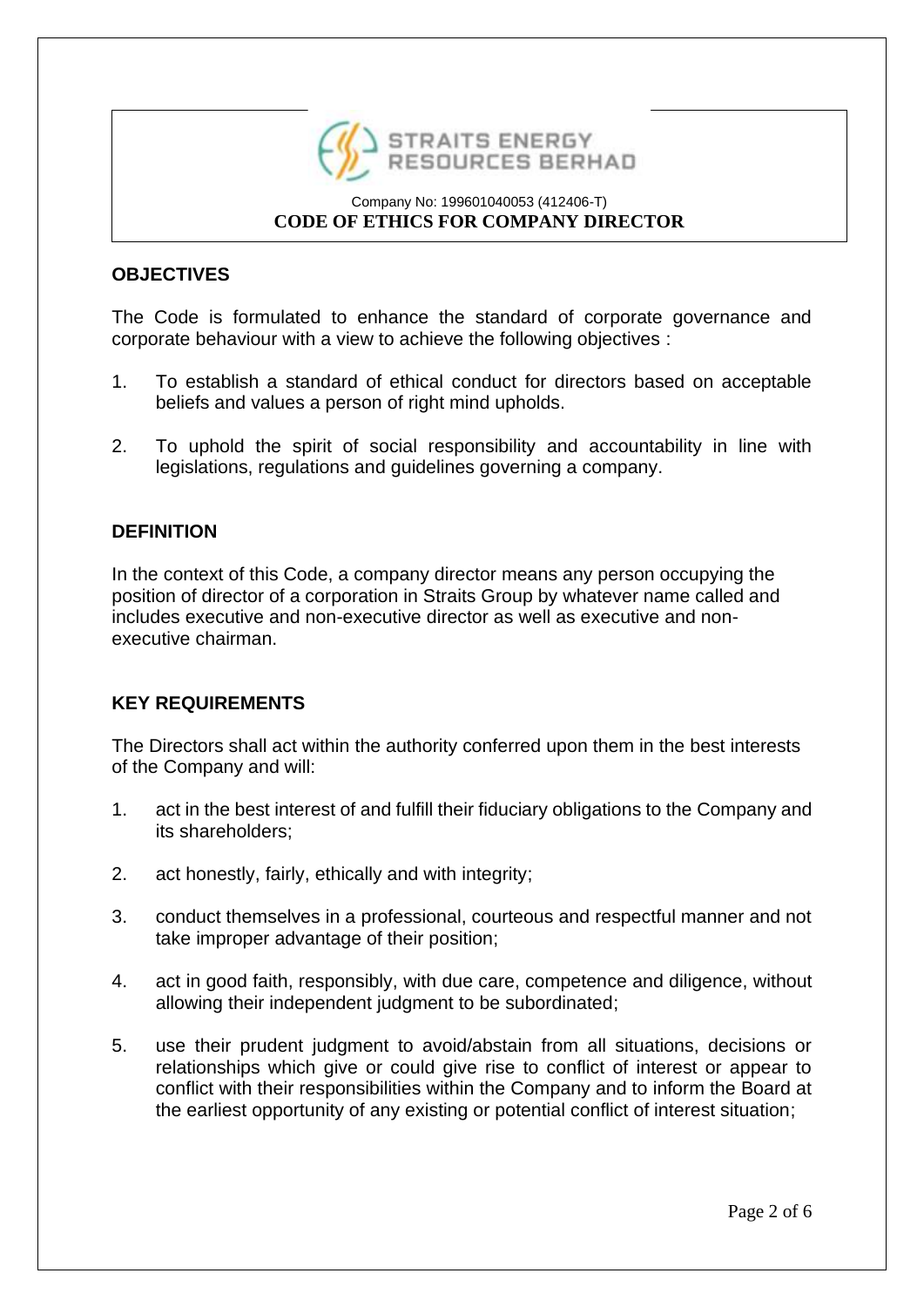

## **OBJECTIVES**

The Code is formulated to enhance the standard of corporate governance and corporate behaviour with a view to achieve the following objectives :

- 1. To establish a standard of ethical conduct for directors based on acceptable beliefs and values a person of right mind upholds.
- 2. To uphold the spirit of social responsibility and accountability in line with legislations, regulations and guidelines governing a company.

### **DEFINITION**

In the context of this Code, a company director means any person occupying the position of director of a corporation in Straits Group by whatever name called and includes executive and non-executive director as well as executive and nonexecutive chairman.

### **KEY REQUIREMENTS**

The Directors shall act within the authority conferred upon them in the best interests of the Company and will:

- 1. act in the best interest of and fulfill their fiduciary obligations to the Company and its shareholders;
- 2. act honestly, fairly, ethically and with integrity;
- 3. conduct themselves in a professional, courteous and respectful manner and not take improper advantage of their position;
- 4. act in good faith, responsibly, with due care, competence and diligence, without allowing their independent judgment to be subordinated;
- 5. use their prudent judgment to avoid/abstain from all situations, decisions or relationships which give or could give rise to conflict of interest or appear to conflict with their responsibilities within the Company and to inform the Board at the earliest opportunity of any existing or potential conflict of interest situation;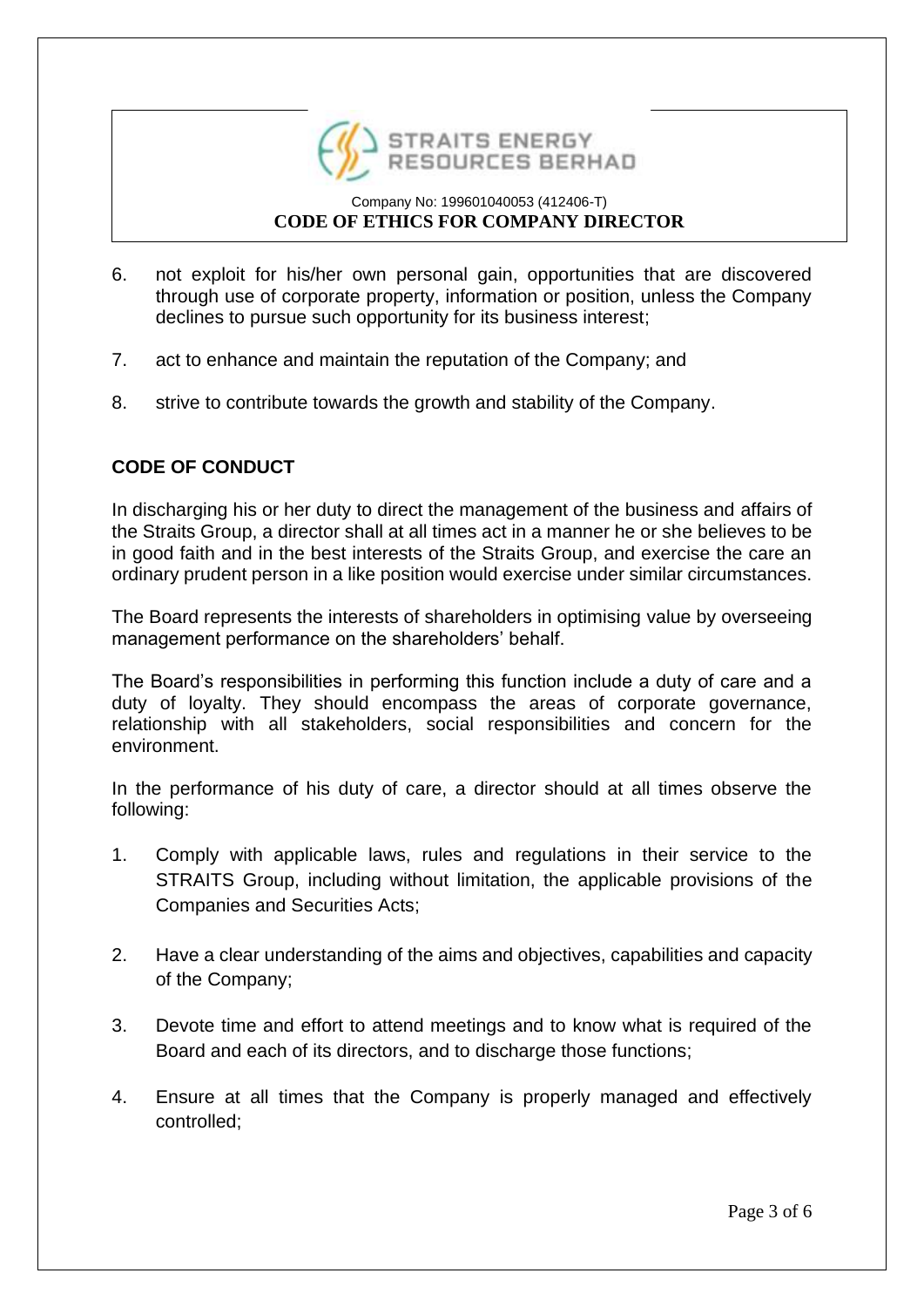

- 6. not exploit for his/her own personal gain, opportunities that are discovered through use of corporate property, information or position, unless the Company declines to pursue such opportunity for its business interest;
- 7. act to enhance and maintain the reputation of the Company; and
- 8. strive to contribute towards the growth and stability of the Company.

## **CODE OF CONDUCT**

In discharging his or her duty to direct the management of the business and affairs of the Straits Group, a director shall at all times act in a manner he or she believes to be in good faith and in the best interests of the Straits Group, and exercise the care an ordinary prudent person in a like position would exercise under similar circumstances.

The Board represents the interests of shareholders in optimising value by overseeing management performance on the shareholders' behalf.

The Board's responsibilities in performing this function include a duty of care and a duty of loyalty. They should encompass the areas of corporate governance, relationship with all stakeholders, social responsibilities and concern for the environment.

In the performance of his duty of care, a director should at all times observe the following:

- 1. Comply with applicable laws, rules and regulations in their service to the STRAITS Group, including without limitation, the applicable provisions of the Companies and Securities Acts;
- 2. Have a clear understanding of the aims and objectives, capabilities and capacity of the Company;
- 3. Devote time and effort to attend meetings and to know what is required of the Board and each of its directors, and to discharge those functions;
- 4. Ensure at all times that the Company is properly managed and effectively controlled;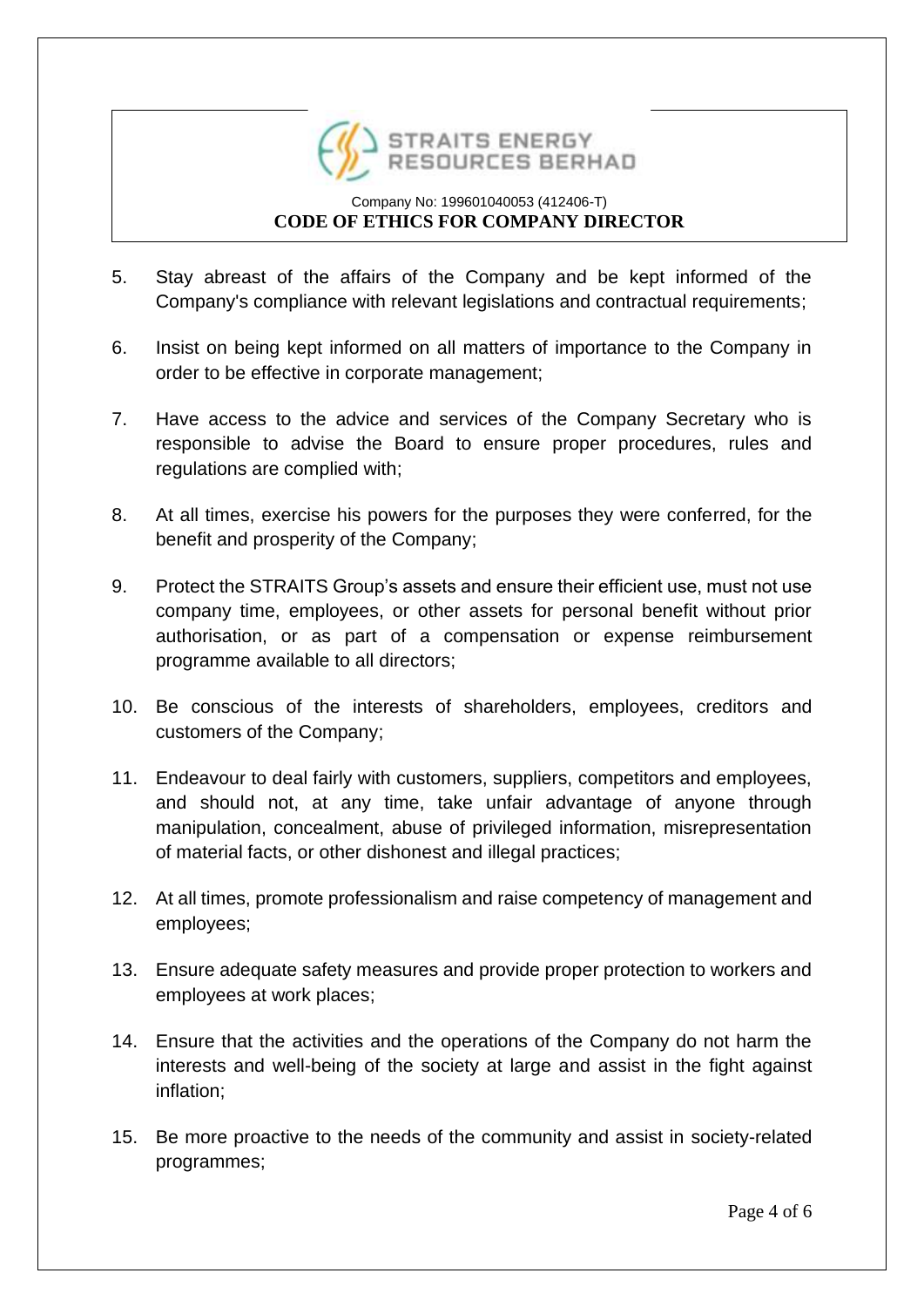

- 5. Stay abreast of the affairs of the Company and be kept informed of the Company's compliance with relevant legislations and contractual requirements;
- 6. Insist on being kept informed on all matters of importance to the Company in order to be effective in corporate management;
- 7. Have access to the advice and services of the Company Secretary who is responsible to advise the Board to ensure proper procedures, rules and regulations are complied with;
- 8. At all times, exercise his powers for the purposes they were conferred, for the benefit and prosperity of the Company;
- 9. Protect the STRAITS Group's assets and ensure their efficient use, must not use company time, employees, or other assets for personal benefit without prior authorisation, or as part of a compensation or expense reimbursement programme available to all directors;
- 10. Be conscious of the interests of shareholders, employees, creditors and customers of the Company;
- 11. Endeavour to deal fairly with customers, suppliers, competitors and employees, and should not, at any time, take unfair advantage of anyone through manipulation, concealment, abuse of privileged information, misrepresentation of material facts, or other dishonest and illegal practices;
- 12. At all times, promote professionalism and raise competency of management and employees;
- 13. Ensure adequate safety measures and provide proper protection to workers and employees at work places;
- 14. Ensure that the activities and the operations of the Company do not harm the interests and well-being of the society at large and assist in the fight against inflation;
- 15. Be more proactive to the needs of the community and assist in society-related programmes;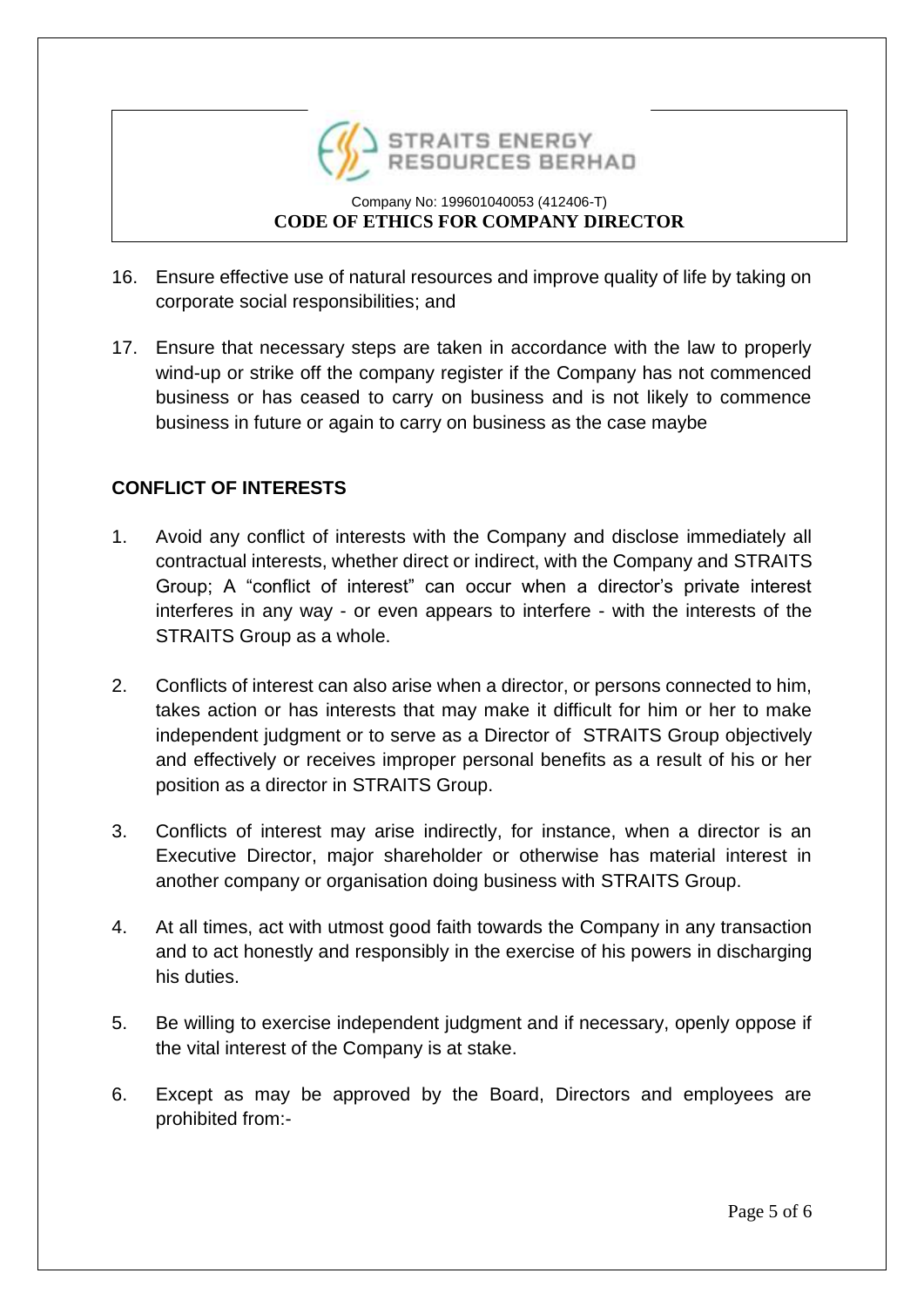

- 16. Ensure effective use of natural resources and improve quality of life by taking on corporate social responsibilities; and
- 17. Ensure that necessary steps are taken in accordance with the law to properly wind-up or strike off the company register if the Company has not commenced business or has ceased to carry on business and is not likely to commence business in future or again to carry on business as the case maybe

# **CONFLICT OF INTERESTS**

- 1. Avoid any conflict of interests with the Company and disclose immediately all contractual interests, whether direct or indirect, with the Company and STRAITS Group; A "conflict of interest" can occur when a director's private interest interferes in any way - or even appears to interfere - with the interests of the STRAITS Group as a whole.
- 2. Conflicts of interest can also arise when a director, or persons connected to him, takes action or has interests that may make it difficult for him or her to make independent judgment or to serve as a Director of STRAITS Group objectively and effectively or receives improper personal benefits as a result of his or her position as a director in STRAITS Group.
- 3. Conflicts of interest may arise indirectly, for instance, when a director is an Executive Director, major shareholder or otherwise has material interest in another company or organisation doing business with STRAITS Group.
- 4. At all times, act with utmost good faith towards the Company in any transaction and to act honestly and responsibly in the exercise of his powers in discharging his duties.
- 5. Be willing to exercise independent judgment and if necessary, openly oppose if the vital interest of the Company is at stake.
- 6. Except as may be approved by the Board, Directors and employees are prohibited from:-